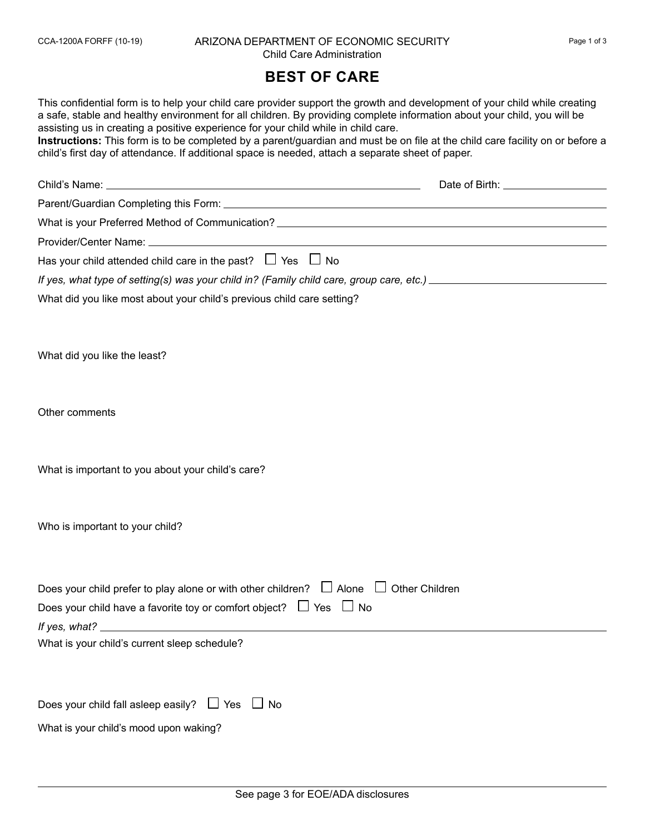## CCA-1200A FORFF (10-19) ARIZONA DEPARTMENT OF ECONOMIC SECURITY Page 1 of 3 Child Care Administration

## **BEST OF CARE**

This confidential form is to help your child care provider support the growth and development of your child while creating a safe, stable and healthy environment for all children. By providing complete information about your child, you will be assisting us in creating a positive experience for your child while in child care.

**Instructions:** This form is to be completed by a parent/guardian and must be on file at the child care facility on or before a child's first day of attendance. If additional space is needed, attach a separate sheet of paper.

| Has your child attended child care in the past? $\Box$ Yes $\Box$ No                                                                                                           |  |
|--------------------------------------------------------------------------------------------------------------------------------------------------------------------------------|--|
| If yes, what type of setting(s) was your child in? (Family child care, group care, etc.) _____________________                                                                 |  |
| What did you like most about your child's previous child care setting?                                                                                                         |  |
| What did you like the least?                                                                                                                                                   |  |
| Other comments                                                                                                                                                                 |  |
| What is important to you about your child's care?                                                                                                                              |  |
| Who is important to your child?                                                                                                                                                |  |
| Does your child prefer to play alone or with other children? $\Box$ Alone $\Box$ Other Children<br>Does your child have a favorite toy or comfort object? $\Box$ Yes $\Box$ No |  |
| What is your child's current sleep schedule?                                                                                                                                   |  |
| Does your child fall asleep easily? $\Box$ Yes $\Box$ No                                                                                                                       |  |
| What is your child's mood upon waking?                                                                                                                                         |  |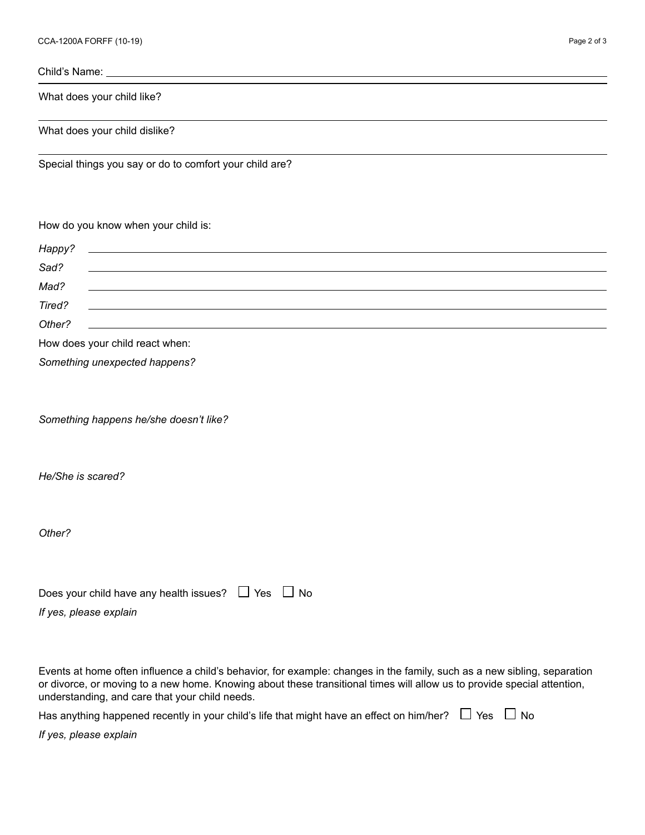Child's Name:

What does your child like?

What does your child dislike?

Special things you say or do to comfort your child are?

## How do you know when your child is:

| Happy? |                                                                                                                       |
|--------|-----------------------------------------------------------------------------------------------------------------------|
| Sad?   |                                                                                                                       |
| Mad?   | <u> 1989 - Johann Barbara, martxa alemaniar argumento de la contrada de la contrada de la contrada de la contrada</u> |
| Tired? |                                                                                                                       |
| Other? | <u> 1989 - Andrea Stadt Britain, amerikansk politik (d. 1989)</u>                                                     |
|        | How does your child react when:                                                                                       |
|        | Something unexpected happens?                                                                                         |

*Something happens he/she doesn't like?*

*He/She is scared?*

*Other?*

| Does your child have any health issues? $\Box$ Yes $\Box$ No |  |
|--------------------------------------------------------------|--|
| If yes, please explain                                       |  |

Events at home often influence a child's behavior, for example: changes in the family, such as a new sibling, separation or divorce, or moving to a new home. Knowing about these transitional times will allow us to provide special attention, understanding, and care that your child needs.

| Has anything happened recently in your child's life that might have an effect on him/her? $\;\;\Box$ Yes $\;\;\Box$ No $\;$ |  |  |  |
|-----------------------------------------------------------------------------------------------------------------------------|--|--|--|
|-----------------------------------------------------------------------------------------------------------------------------|--|--|--|

*If yes, please explain*